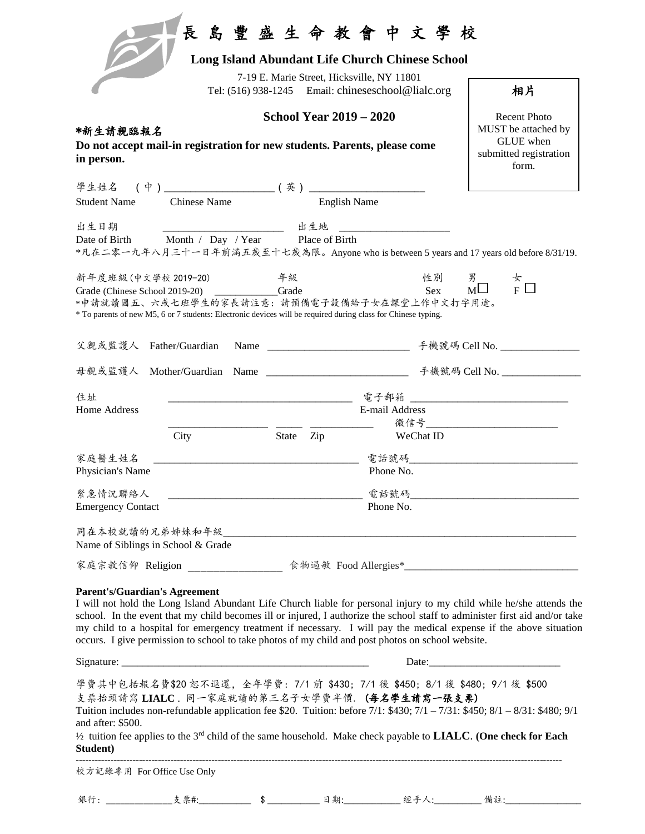|                                                                                                                                                                       |                                                                                            | 7-19 E. Marie Street, Hicksville, NY 11801      | Tel: (516) 938-1245 Email: chineseschool@lialc.org                                                                                                                  | 相片                                                                                                                                                                                                                                                                                                                                                                        |
|-----------------------------------------------------------------------------------------------------------------------------------------------------------------------|--------------------------------------------------------------------------------------------|-------------------------------------------------|---------------------------------------------------------------------------------------------------------------------------------------------------------------------|---------------------------------------------------------------------------------------------------------------------------------------------------------------------------------------------------------------------------------------------------------------------------------------------------------------------------------------------------------------------------|
| *新生請親臨報名<br>Do not accept mail-in registration for new students. Parents, please come<br>in person.                                                                   | <b>Recent Photo</b><br>MUST be attached by<br>GLUE when<br>submitted registration<br>form. |                                                 |                                                                                                                                                                     |                                                                                                                                                                                                                                                                                                                                                                           |
|                                                                                                                                                                       |                                                                                            |                                                 |                                                                                                                                                                     |                                                                                                                                                                                                                                                                                                                                                                           |
| <b>Student Name</b>                                                                                                                                                   | <b>Chinese Name</b>                                                                        |                                                 | <b>English Name</b>                                                                                                                                                 |                                                                                                                                                                                                                                                                                                                                                                           |
| 出生日期                                                                                                                                                                  | __________________________ 出生地                                                             |                                                 |                                                                                                                                                                     |                                                                                                                                                                                                                                                                                                                                                                           |
|                                                                                                                                                                       |                                                                                            | Date of Birth Month / Day / Year Place of Birth |                                                                                                                                                                     |                                                                                                                                                                                                                                                                                                                                                                           |
|                                                                                                                                                                       |                                                                                            |                                                 |                                                                                                                                                                     | *凡在二零一九年八月三十一日年前满五歲至十七歲為限。Anyone who is between 5 years and 17 years old before 8/31/19.                                                                                                                                                                                                                                                                                  |
| 新年度班級 (中文學校 2019-20)         年級<br>Grade (Chinese School 2019-20) Grade                                                                                               |                                                                                            |                                                 | Sex<br>*申請就讀國五、六或七班學生的家長請注意:請預備電子設備給子女在課堂上作中文打字用途。<br>* To parents of new M5, 6 or 7 students: Electronic devices will be required during class for Chinese typing. | 性別 男<br>$\frac{R}{M}$ $\frac{L}{F}$ $\Box$                                                                                                                                                                                                                                                                                                                                |
|                                                                                                                                                                       |                                                                                            |                                                 |                                                                                                                                                                     |                                                                                                                                                                                                                                                                                                                                                                           |
|                                                                                                                                                                       |                                                                                            |                                                 |                                                                                                                                                                     |                                                                                                                                                                                                                                                                                                                                                                           |
|                                                                                                                                                                       |                                                                                            |                                                 |                                                                                                                                                                     |                                                                                                                                                                                                                                                                                                                                                                           |
|                                                                                                                                                                       |                                                                                            |                                                 |                                                                                                                                                                     |                                                                                                                                                                                                                                                                                                                                                                           |
|                                                                                                                                                                       |                                                                                            |                                                 | E-mail Address                                                                                                                                                      | 電子郵箱                                                                                                                                                                                                                                                                                                                                                                      |
|                                                                                                                                                                       |                                                                                            |                                                 |                                                                                                                                                                     | 微信号_______________________________                                                                                                                                                                                                                                                                                                                                        |
|                                                                                                                                                                       | City                                                                                       | State Zip                                       | WeChat ID                                                                                                                                                           |                                                                                                                                                                                                                                                                                                                                                                           |
|                                                                                                                                                                       |                                                                                            |                                                 |                                                                                                                                                                     |                                                                                                                                                                                                                                                                                                                                                                           |
|                                                                                                                                                                       |                                                                                            |                                                 | Phone No.                                                                                                                                                           |                                                                                                                                                                                                                                                                                                                                                                           |
|                                                                                                                                                                       |                                                                                            |                                                 |                                                                                                                                                                     | 電話號碼                                                                                                                                                                                                                                                                                                                                                                      |
|                                                                                                                                                                       |                                                                                            |                                                 | Phone No.                                                                                                                                                           |                                                                                                                                                                                                                                                                                                                                                                           |
|                                                                                                                                                                       |                                                                                            |                                                 |                                                                                                                                                                     |                                                                                                                                                                                                                                                                                                                                                                           |
|                                                                                                                                                                       |                                                                                            |                                                 |                                                                                                                                                                     |                                                                                                                                                                                                                                                                                                                                                                           |
|                                                                                                                                                                       |                                                                                            |                                                 |                                                                                                                                                                     |                                                                                                                                                                                                                                                                                                                                                                           |
|                                                                                                                                                                       |                                                                                            |                                                 |                                                                                                                                                                     | 家庭宗教信仰 Religion ________________ 食物過敏 Food Allergies*___________________________                                                                                                                                                                                                                                                                                          |
| 住址<br>Home Address<br>家庭醫生姓名<br>Physician's Name<br>緊急情況聯絡人<br><b>Emergency Contact</b><br>Name of Siblings in School & Grade<br><b>Parent's/Guardian's Agreement</b> |                                                                                            |                                                 | occurs. I give permission to school to take photos of my child and post photos on school website.                                                                   | I will not hold the Long Island Abundant Life Church liable for personal injury to my child while he/she attends the<br>school. In the event that my child becomes ill or injured, I authorize the school staff to administer first aid and/or take<br>my child to a hospital for emergency treatment if necessary. I will pay the medical expense if the above situation |
|                                                                                                                                                                       |                                                                                            |                                                 |                                                                                                                                                                     |                                                                                                                                                                                                                                                                                                                                                                           |

學費其中包括報名費\$20 恕不退還,全年學費:7/1 前 \$430; 7/1 後 \$450; 8/1 後 \$480; 9/1 後 \$500 支票抬頭請寫 **LIALC** . 同一家庭就讀的第三名子女學費半價. (每名學生請寫一張支票) Tuition includes non-refundable application fee \$20. Tuition: before 7/1: \$430; 7/1 – 7/31: \$450; 8/1 – 8/31: \$480; 9/1 and after: \$500. ½ tuition fee applies to the 3rd child of the same household. Make check payable to **LIALC**. **(One check for Each Student)** ----------------------------------------------------------------------------------------------------------------------------------------------------------

校方記錄專用 For Office Use Only